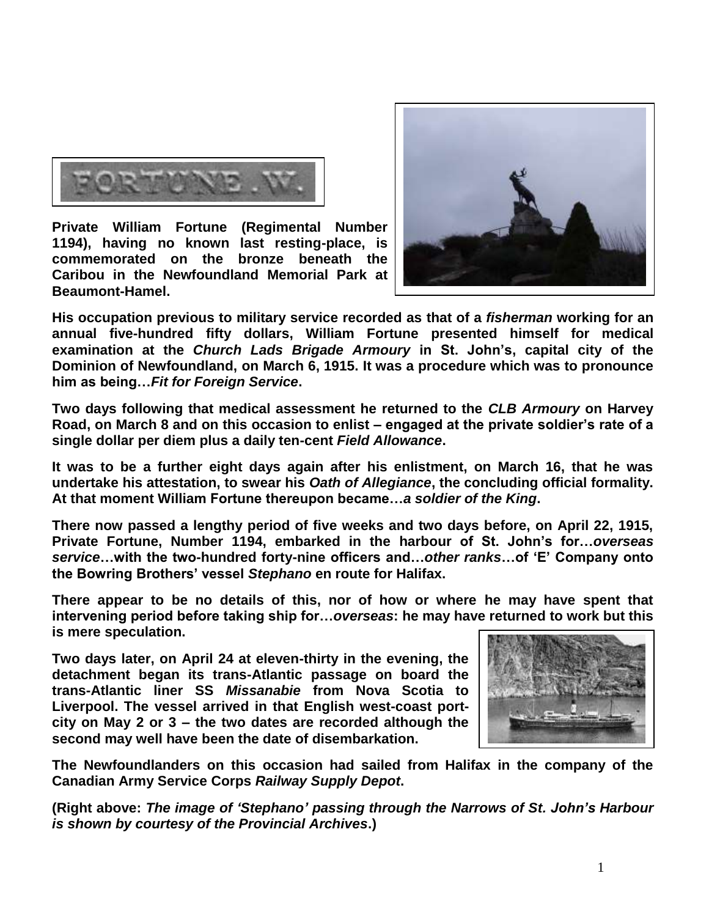

**Private William Fortune (Regimental Number 1194), having no known last resting-place, is commemorated on the bronze beneath the Caribou in the Newfoundland Memorial Park at Beaumont-Hamel.** 



**His occupation previous to military service recorded as that of a** *fisherman* **working for an annual five-hundred fifty dollars, William Fortune presented himself for medical examination at the** *Church Lads Brigade Armoury* **in St. John's, capital city of the Dominion of Newfoundland, on March 6, 1915. It was a procedure which was to pronounce him as being…***Fit for Foreign Service***.**

**Two days following that medical assessment he returned to the** *CLB Armoury* **on Harvey Road, on March 8 and on this occasion to enlist – engaged at the private soldier's rate of a single dollar per diem plus a daily ten-cent** *Field Allowance***.**

**It was to be a further eight days again after his enlistment, on March 16, that he was undertake his attestation, to swear his** *Oath of Allegiance***, the concluding official formality. At that moment William Fortune thereupon became…***a soldier of the King***.**

**There now passed a lengthy period of five weeks and two days before, on April 22, 1915, Private Fortune, Number 1194, embarked in the harbour of St. John's for…***overseas service***…with the two-hundred forty-nine officers and…***other ranks***…of 'E' Company onto the Bowring Brothers' vessel** *Stephano* **en route for Halifax.** 

**There appear to be no details of this, nor of how or where he may have spent that intervening period before taking ship for…***overseas***: he may have returned to work but this is mere speculation.** 

**Two days later, on April 24 at eleven-thirty in the evening, the detachment began its trans-Atlantic passage on board the trans-Atlantic liner SS** *Missanabie* **from Nova Scotia to Liverpool. The vessel arrived in that English west-coast portcity on May 2 or 3 – the two dates are recorded although the second may well have been the date of disembarkation.** 



**The Newfoundlanders on this occasion had sailed from Halifax in the company of the Canadian Army Service Corps** *Railway Supply Depot***.**

**(Right above:** *The image of 'Stephano' passing through the Narrows of St. John's Harbour is shown by courtesy of the Provincial Archives***.)**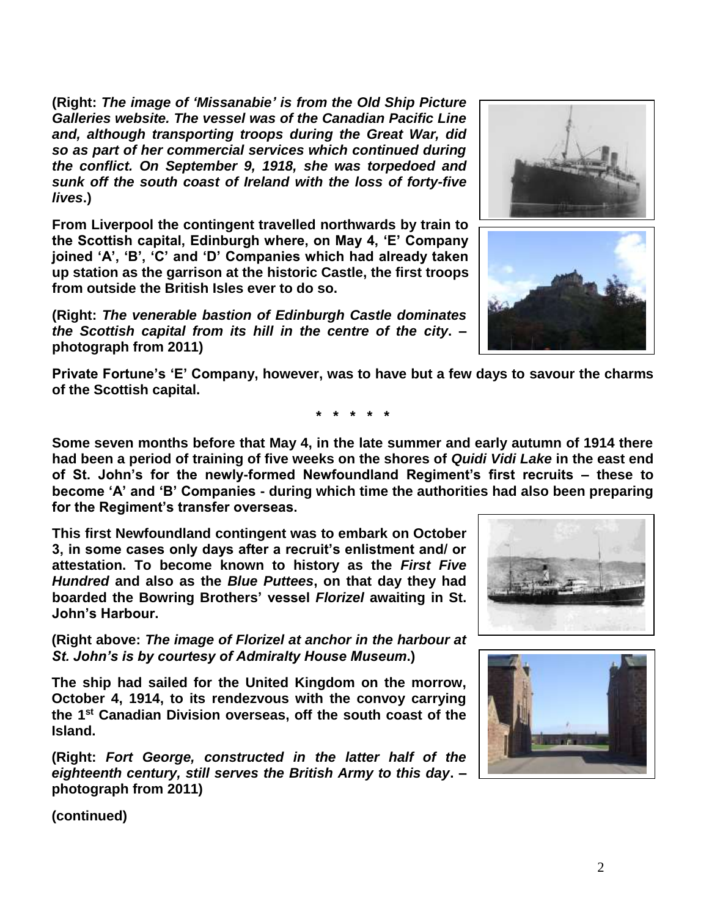**(Right:** *The image of 'Missanabie' is from the Old Ship Picture Galleries website. The vessel was of the Canadian Pacific Line and, although transporting troops during the Great War, did so as part of her commercial services which continued during the conflict. On September 9, 1918, she was torpedoed and sunk off the south coast of Ireland with the loss of forty-five lives***.)**

**From Liverpool the contingent travelled northwards by train to the Scottish capital, Edinburgh where, on May 4, 'E' Company joined 'A', 'B', 'C' and 'D' Companies which had already taken up station as the garrison at the historic Castle, the first troops from outside the British Isles ever to do so.**

**(Right:** *The venerable bastion of Edinburgh Castle dominates the Scottish capital from its hill in the centre of the city***. – photograph from 2011)**





**Private Fortune's 'E' Company, however, was to have but a few days to savour the charms of the Scottish capital.**

**\* \* \* \* \***

**Some seven months before that May 4, in the late summer and early autumn of 1914 there had been a period of training of five weeks on the shores of** *Quidi Vidi Lake* **in the east end of St. John's for the newly-formed Newfoundland Regiment's first recruits – these to become 'A' and 'B' Companies - during which time the authorities had also been preparing for the Regiment's transfer overseas.**

**This first Newfoundland contingent was to embark on October 3, in some cases only days after a recruit's enlistment and/ or attestation. To become known to history as the** *First Five Hundred* **and also as the** *Blue Puttees***, on that day they had boarded the Bowring Brothers' vessel** *Florizel* **awaiting in St. John's Harbour.**

**(Right above:** *The image of Florizel at anchor in the harbour at St. John's is by courtesy of Admiralty House Museum***.)**

**The ship had sailed for the United Kingdom on the morrow, October 4, 1914, to its rendezvous with the convoy carrying the 1st Canadian Division overseas, off the south coast of the Island.** 

**(Right:** *Fort George, constructed in the latter half of the eighteenth century, still serves the British Army to this day***. – photograph from 2011)**



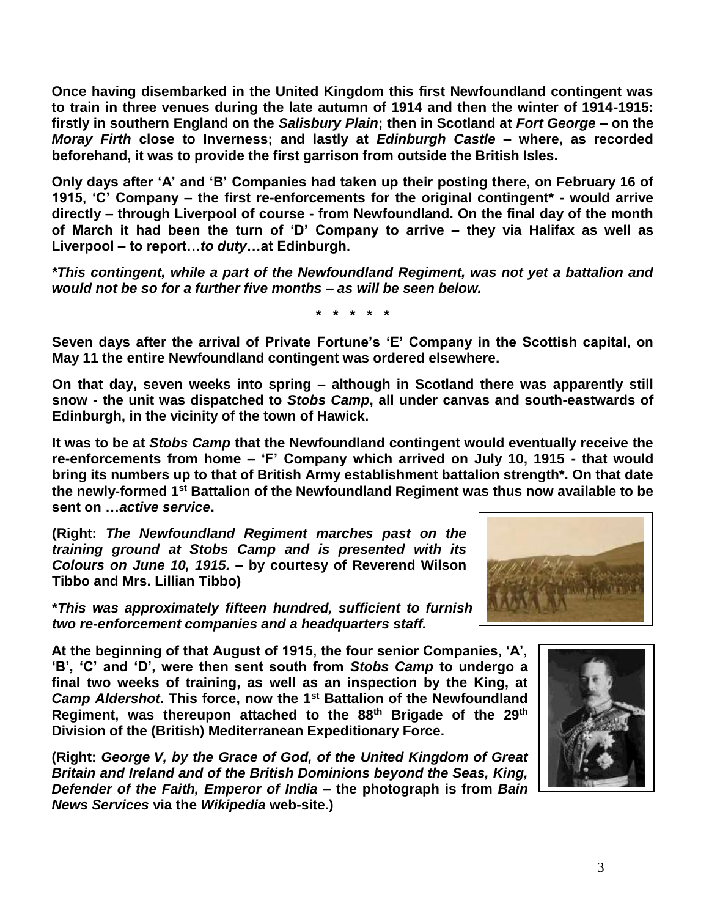**Once having disembarked in the United Kingdom this first Newfoundland contingent was to train in three venues during the late autumn of 1914 and then the winter of 1914-1915: firstly in southern England on the** *Salisbury Plain***; then in Scotland at** *Fort George* **– on the**  *Moray Firth* **close to Inverness; and lastly at** *Edinburgh Castle* **– where, as recorded beforehand, it was to provide the first garrison from outside the British Isles.** 

**Only days after 'A' and 'B' Companies had taken up their posting there, on February 16 of 1915, 'C' Company – the first re-enforcements for the original contingent\* - would arrive directly – through Liverpool of course - from Newfoundland. On the final day of the month of March it had been the turn of 'D' Company to arrive – they via Halifax as well as Liverpool – to report…***to duty***…at Edinburgh.**

*\*This contingent, while a part of the Newfoundland Regiment, was not yet a battalion and would not be so for a further five months – as will be seen below.*

**\* \* \* \* \***

**Seven days after the arrival of Private Fortune's 'E' Company in the Scottish capital, on May 11 the entire Newfoundland contingent was ordered elsewhere.** 

**On that day, seven weeks into spring – although in Scotland there was apparently still snow - the unit was dispatched to** *Stobs Camp***, all under canvas and south-eastwards of Edinburgh, in the vicinity of the town of Hawick.**

**It was to be at** *Stobs Camp* **that the Newfoundland contingent would eventually receive the re-enforcements from home – 'F' Company which arrived on July 10, 1915 - that would bring its numbers up to that of British Army establishment battalion strength\*. On that date the newly-formed 1st Battalion of the Newfoundland Regiment was thus now available to be sent on …***active service***.**

**(Right:** *The Newfoundland Regiment marches past on the training ground at Stobs Camp and is presented with its Colours on June 10, 1915.* **– by courtesy of Reverend Wilson Tibbo and Mrs. Lillian Tibbo)**

**\****This was approximately fifteen hundred, sufficient to furnish four 'fighting' companies, two re-enforcement companies and a headquarters staff.*

**At the beginning of that August of 1915, the four senior Companies, 'A', 'B', 'C' and 'D', were then sent south from** *Stobs Camp* **to undergo a final two weeks of training, as well as an inspection by the King, at**  *Camp Aldershot***. This force, now the 1st Battalion of the Newfoundland Regiment, was thereupon attached to the 88th Brigade of the 29th Division of the (British) Mediterranean Expeditionary Force.**

**(Right:** *George V, by the Grace of God, of the United Kingdom of Great Britain and Ireland and of the British Dominions beyond the Seas, King, Defender of the Faith, Emperor of India* **– the photograph is from** *Bain News Services* **via the** *Wikipedia* **web-site.)**



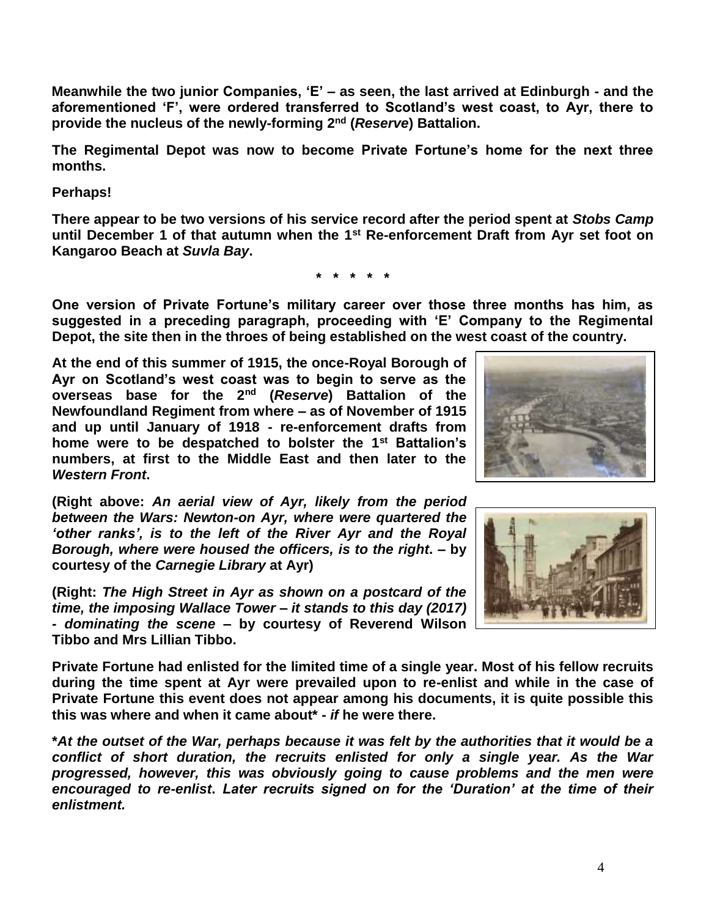**Meanwhile the two junior Companies, 'E' – as seen, the last arrived at Edinburgh - and the aforementioned 'F', were ordered transferred to Scotland's west coast, to Ayr, there to provide the nucleus of the newly-forming 2nd (***Reserve***) Battalion.**

**The Regimental Depot was now to become Private Fortune's home for the next three months.**

**Perhaps!**

**There appear to be two versions of his service record after the period spent at** *Stobs Camp* **until December 1 of that autumn when the 1st Re-enforcement Draft from Ayr set foot on Kangaroo Beach at** *Suvla Bay***.**

**\* \* \* \* \***

**One version of Private Fortune's military career over those three months has him, as suggested in a preceding paragraph, proceeding with 'E' Company to the Regimental Depot, the site then in the throes of being established on the west coast of the country.**

**At the end of this summer of 1915, the once-Royal Borough of Ayr on Scotland's west coast was to begin to serve as the overseas base for the 2nd (***Reserve***) Battalion of the Newfoundland Regiment from where – as of November of 1915 and up until January of 1918 - re-enforcement drafts from home were to be despatched to bolster the 1st Battalion's numbers, at first to the Middle East and then later to the**  *Western Front***.**

**(Right above:** *An aerial view of Ayr, likely from the period between the Wars: Newton-on Ayr, where were quartered the 'other ranks', is to the left of the River Ayr and the Royal Borough, where were housed the officers, is to the right***. – by courtesy of the** *Carnegie Library* **at Ayr)**

**(Right:** *The High Street in Ayr as shown on a postcard of the time, the imposing Wallace Tower – it stands to this day (2017) - dominating the scene* **– by courtesy of Reverend Wilson Tibbo and Mrs Lillian Tibbo.**

**Private Fortune had enlisted for the limited time of a single year. Most of his fellow recruits during the time spent at Ayr were prevailed upon to re-enlist and while in the case of Private Fortune this event does not appear among his documents, it is quite possible this this was where and when it came about\* -** *if* **he were there.**

**\****At the outset of the War, perhaps because it was felt by the authorities that it would be a conflict of short duration, the recruits enlisted for only a single year. As the War progressed, however, this was obviously going to cause problems and the men were encouraged to re-enlist***.** *Later recruits signed on for the 'Duration' at the time of their enlistment.*



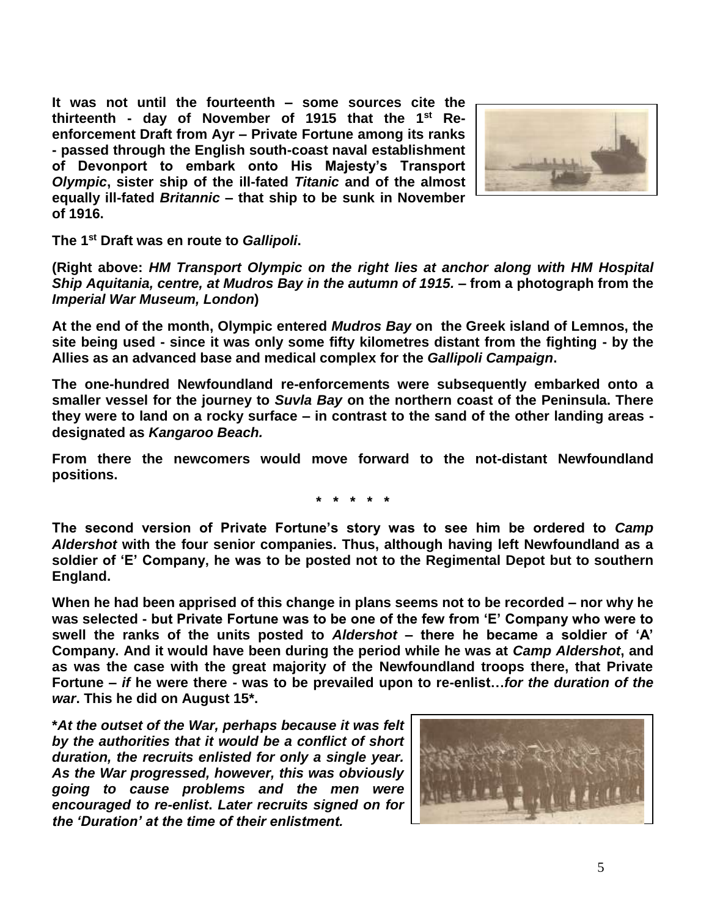**It was not until the fourteenth – some sources cite the thirteenth - day of November of 1915 that the 1st Reenforcement Draft from Ayr – Private Fortune among its ranks - passed through the English south-coast naval establishment of Devonport to embark onto His Majesty's Transport**  *Olympic***, sister ship of the ill-fated** *Titanic* **and of the almost equally ill-fated** *Britannic* **– that ship to be sunk in November of 1916.**



**The 1st Draft was en route to** *Gallipoli***.** 

**(Right above:** *HM Transport Olympic on the right lies at anchor along with HM Hospital Ship Aquitania, centre, at Mudros Bay in the autumn of 1915.* **– from a photograph from the**  *Imperial War Museum, London***)**

**At the end of the month, Olympic entered** *Mudros Bay* **on the Greek island of Lemnos, the site being used - since it was only some fifty kilometres distant from the fighting - by the Allies as an advanced base and medical complex for the** *Gallipoli Campaign***.**

**The one-hundred Newfoundland re-enforcements were subsequently embarked onto a smaller vessel for the journey to** *Suvla Bay* **on the northern coast of the Peninsula. There they were to land on a rocky surface – in contrast to the sand of the other landing areas designated as** *Kangaroo Beach.*

**From there the newcomers would move forward to the not-distant Newfoundland positions.**

**\* \* \* \* \***

**The second version of Private Fortune's story was to see him be ordered to** *Camp Aldershot* **with the four senior companies. Thus, although having left Newfoundland as a soldier of 'E' Company, he was to be posted not to the Regimental Depot but to southern England.**

**When he had been apprised of this change in plans seems not to be recorded – nor why he was selected - but Private Fortune was to be one of the few from 'E' Company who were to swell the ranks of the units posted to** *Aldershot* **– there he became a soldier of 'A' Company. And it would have been during the period while he was at** *Camp Aldershot***, and as was the case with the great majority of the Newfoundland troops there, that Private Fortune –** *if* **he were there - was to be prevailed upon to re-enlist…***for the duration of the war***. This he did on August 15\*.**

**\****At the outset of the War, perhaps because it was felt by the authorities that it would be a conflict of short duration, the recruits enlisted for only a single year. As the War progressed, however, this was obviously going to cause problems and the men were encouraged to re-enlist***.** *Later recruits signed on for the 'Duration' at the time of their enlistment.*

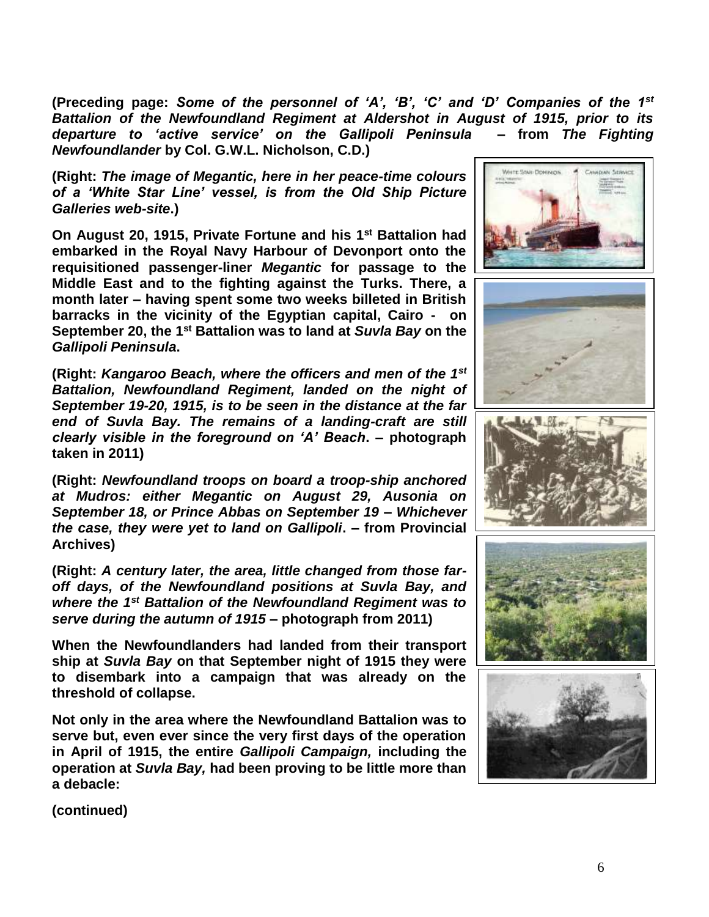**(Preceding page:** *Some of the personnel of 'A', 'B', 'C' and 'D' Companies of the 1st Battalion of the Newfoundland Regiment at Aldershot in August of 1915, prior to its departure to 'active service' on the Gallipoli Peninsula* **– from** *The Fighting Newfoundlander* **by Col. G.W.L. Nicholson, C.D.)**

**(Right:** *The image of Megantic, here in her peace-time colours of a 'White Star Line' vessel, is from the Old Ship Picture Galleries web-site***.)**

**On August 20, 1915, Private Fortune and his 1st Battalion had embarked in the Royal Navy Harbour of Devonport onto the requisitioned passenger-liner** *Megantic* **for passage to the Middle East and to the fighting against the Turks. There, a month later – having spent some two weeks billeted in British barracks in the vicinity of the Egyptian capital, Cairo - on September 20, the 1st Battalion was to land at** *Suvla Bay* **on the**  *Gallipoli Peninsula***.**

**(Right:** *Kangaroo Beach, where the officers and men of the 1st Battalion, Newfoundland Regiment, landed on the night of September 19-20, 1915, is to be seen in the distance at the far end of Suvla Bay. The remains of a landing-craft are still clearly visible in the foreground on 'A' Beach***. – photograph taken in 2011)**

**(Right:** *Newfoundland troops on board a troop-ship anchored at Mudros: either Megantic on August 29, Ausonia on September 18, or Prince Abbas on September 19 – Whichever the case, they were yet to land on Gallipoli***. – from Provincial Archives)**

**(Right:** *A century later, the area, little changed from those faroff days, of the Newfoundland positions at Suvla Bay, and where the 1st Battalion of the Newfoundland Regiment was to serve during the autumn of 1915* **– photograph from 2011)**

**When the Newfoundlanders had landed from their transport ship at** *Suvla Bay* **on that September night of 1915 they were to disembark into a campaign that was already on the threshold of collapse.**

**Not only in the area where the Newfoundland Battalion was to serve but, even ever since the very first days of the operation in April of 1915, the entire** *Gallipoli Campaign,* **including the operation at** *Suvla Bay,* **had been proving to be little more than a debacle:** 









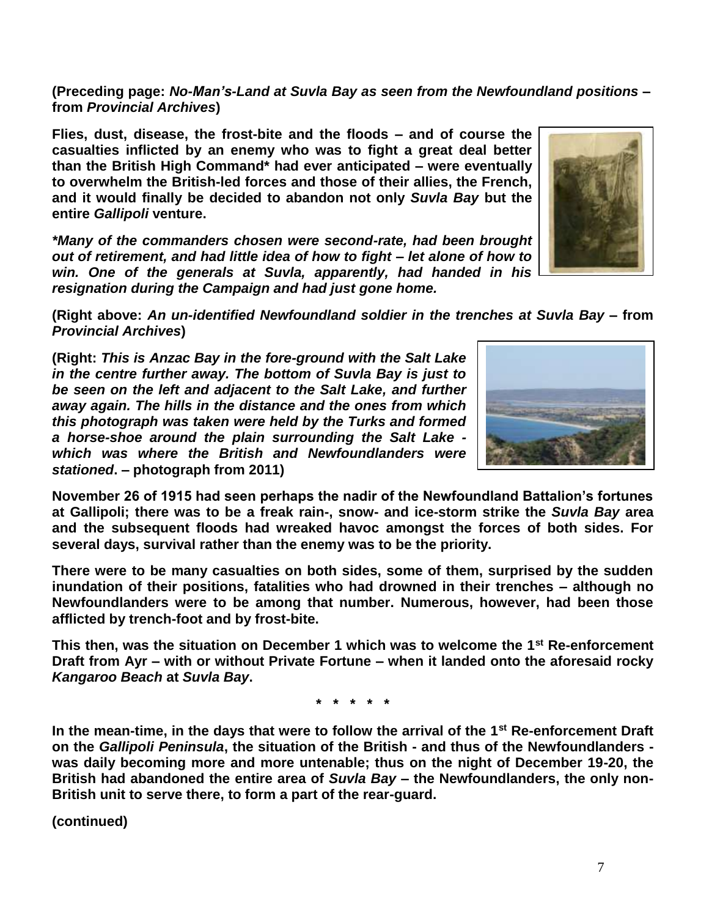**British had abandoned the entire area of** *Suvla Bay* **– the Newfoundlanders, the only non-**

**Newfoundlanders were to be among that number. Numerous, however, had been those afflicted by trench-foot and by frost-bite. This then, was the situation on December 1 which was to welcome the 1st Re-enforcement** 

**Draft from Ayr – with or without Private Fortune – when it landed onto the aforesaid rocky**  *Kangaroo Beach* **at** *Suvla Bay***.**

**\* \* \* \* \***

**In the mean-time, in the days that were to follow the arrival of the 1st Re-enforcement Draft on the** *Gallipoli Peninsula***, the situation of the British - and thus of the Newfoundlanders was daily becoming more and more untenable; thus on the night of December 19-20, the** 

*which was where the British and Newfoundlanders were stationed***. – photograph from 2011) November 26 of 1915 had seen perhaps the nadir of the Newfoundland Battalion's fortunes** 

**(Right:** *This is Anzac Bay in the fore-ground with the Salt Lake in the centre further away. The bottom of Suvla Bay is just to be seen on the left and adjacent to the Salt Lake, and further away again. The hills in the distance and the ones from which this photograph was taken were held by the Turks and formed* 

**casualties inflicted by an enemy who was to fight a great deal better than the British High Command\* had ever anticipated – were eventually to overwhelm the British-led forces and those of their allies, the French, and it would finally be decided to abandon not only** *Suvla Bay* **but the entire** *Gallipoli* **venture.**

**Flies, dust, disease, the frost-bite and the floods – and of course the** 

*\*Many of the commanders chosen were second-rate, had been brought out of retirement, and had little idea of how to fight – let alone of how to win. One of the generals at Suvla, apparently, had handed in his* 

*resignation during the Campaign and had just gone home.*

**(Preceding page:** *No-Man's-Land at Suvla Bay as seen from the Newfoundland positions* **– from** *Provincial Archives***)**

**(Right above:** *An un-identified Newfoundland soldier in the trenches at Suvla Bay –* **from**  *Provincial Archives***)**

*a horse-shoe around the plain surrounding the Salt Lake -*

**at Gallipoli; there was to be a freak rain-, snow- and ice-storm strike the** *Suvla Bay* **area and the subsequent floods had wreaked havoc amongst the forces of both sides. For several days, survival rather than the enemy was to be the priority.**

**There were to be many casualties on both sides, some of them, surprised by the sudden inundation of their positions, fatalities who had drowned in their trenches – although no** 

**(continued)**

**British unit to serve there, to form a part of the rear-guard.** 



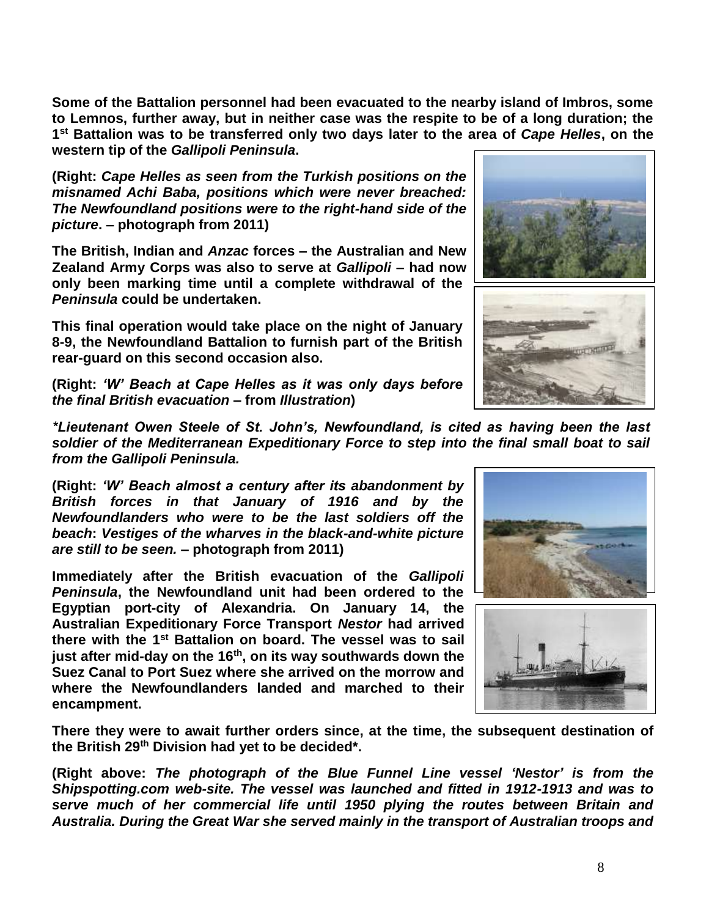**Some of the Battalion personnel had been evacuated to the nearby island of Imbros, some to Lemnos, further away, but in neither case was the respite to be of a long duration; the 1 st Battalion was to be transferred only two days later to the area of** *Cape Helles***, on the western tip of the** *Gallipoli Peninsula***.**

**(Right:** *Cape Helles as seen from the Turkish positions on the misnamed Achi Baba, positions which were never breached: The Newfoundland positions were to the right-hand side of the picture***. – photograph from 2011)**

**The British, Indian and** *Anzac* **forces – the Australian and New Zealand Army Corps was also to serve at** *Gallipoli* **– had now only been marking time until a complete withdrawal of the**  *Peninsula* **could be undertaken.** 

**This final operation would take place on the night of January 8-9, the Newfoundland Battalion to furnish part of the British rear-guard on this second occasion also.**

**(Right:** *'W' Beach at Cape Helles as it was only days before the final British evacuation* **– from** *Illustration***)**

*\*Lieutenant Owen Steele of St. John's, Newfoundland, is cited as having been the last soldier of the Mediterranean Expeditionary Force to step into the final small boat to sail from the Gallipoli Peninsula.*

**(Right:** *'W' Beach almost a century after its abandonment by British forces in that January of 1916 and by the Newfoundlanders who were to be the last soldiers off the beach***:** *Vestiges of the wharves in the black-and-white picture are still to be seen.* **– photograph from 2011)**

**Immediately after the British evacuation of the** *Gallipoli Peninsula***, the Newfoundland unit had been ordered to the Egyptian port-city of Alexandria. On January 14, the Australian Expeditionary Force Transport** *Nestor* **had arrived there with the 1st Battalion on board. The vessel was to sail just after mid-day on the 16th, on its way southwards down the Suez Canal to Port Suez where she arrived on the morrow and where the Newfoundlanders landed and marched to their encampment.**

**There they were to await further orders since, at the time, the subsequent destination of the British 29th Division had yet to be decided\*.**

**(Right above:** *The photograph of the Blue Funnel Line vessel 'Nestor' is from the Shipspotting.com web-site. The vessel was launched and fitted in 1912-1913 and was to serve much of her commercial life until 1950 plying the routes between Britain and Australia. During the Great War she served mainly in the transport of Australian troops and* 



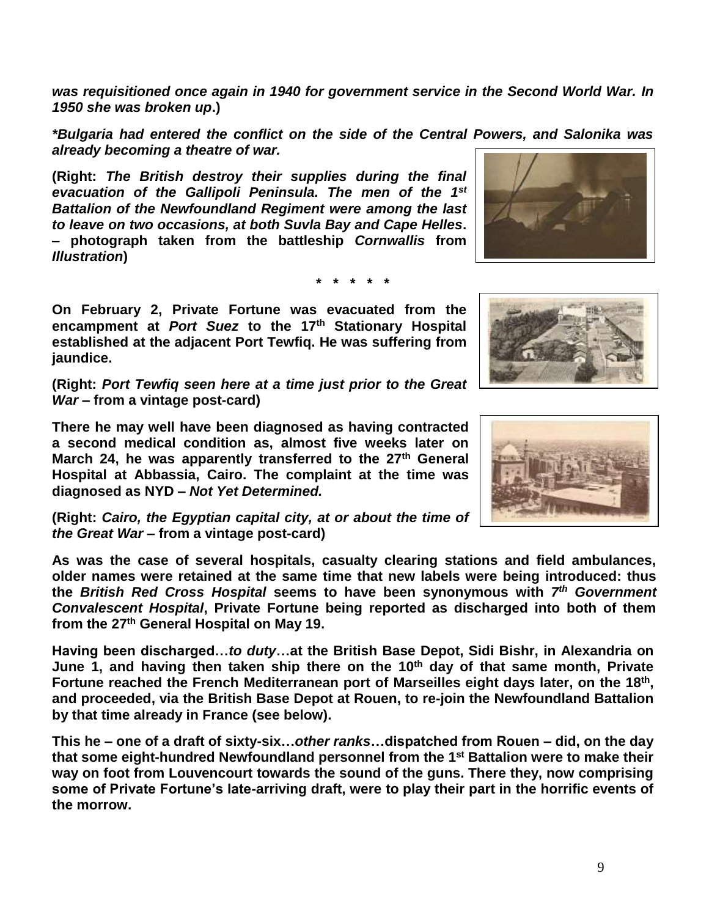*was requisitioned once again in 1940 for government service in the Second World War. In 1950 she was broken up***.)**

*\*Bulgaria had entered the conflict on the side of the Central Powers, and Salonika was already becoming a theatre of war.*

**(Right:** *The British destroy their supplies during the final evacuation of the Gallipoli Peninsula. The men of the 1st Battalion of the Newfoundland Regiment were among the last to leave on two occasions, at both Suvla Bay and Cape Helles***. – photograph taken from the battleship** *Cornwallis* **from**  *Illustration***)**

**\* \* \* \* \***

**On February 2, Private Fortune was evacuated from the encampment at** *Port Suez* **to the 17th Stationary Hospital established at the adjacent Port Tewfiq. He was suffering from jaundice.** 

**(Right:** *Port Tewfiq seen here at a time just prior to the Great War –* **from a vintage post-card)**

**There he may well have been diagnosed as having contracted a second medical condition as, almost five weeks later on March 24, he was apparently transferred to the 27th General Hospital at Abbassia, Cairo. The complaint at the time was diagnosed as NYD –** *Not Yet Determined.*

**(Right:** *Cairo, the Egyptian capital city, at or about the time of the Great War* **– from a vintage post-card)** 

**As was the case of several hospitals, casualty clearing stations and field ambulances, older names were retained at the same time that new labels were being introduced: thus the** *British Red Cross Hospital* **seems to have been synonymous with** *7 th Government Convalescent Hospital***, Private Fortune being reported as discharged into both of them from the 27th General Hospital on May 19.**

**Having been discharged…***to duty***…at the British Base Depot, Sidi Bishr, in Alexandria on June 1, and having then taken ship there on the 10th day of that same month, Private Fortune reached the French Mediterranean port of Marseilles eight days later, on the 18th , and proceeded, via the British Base Depot at Rouen, to re-join the Newfoundland Battalion by that time already in France (see below).** 

**This he – one of a draft of sixty-six…***other ranks***…dispatched from Rouen – did, on the day that some eight-hundred Newfoundland personnel from the 1 st Battalion were to make their way on foot from Louvencourt towards the sound of the guns. There they, now comprising some of Private Fortune's late-arriving draft, were to play their part in the horrific events of the morrow.** 



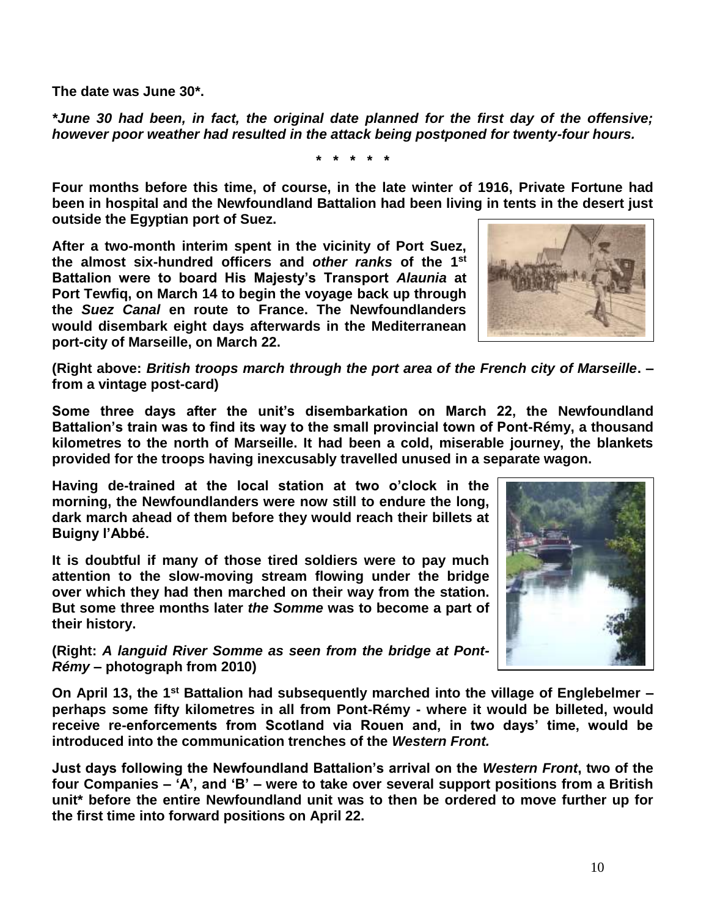**The date was June 30\*.**

*\*June 30 had been, in fact, the original date planned for the first day of the offensive; however poor weather had resulted in the attack being postponed for twenty-four hours.*

**\* \* \* \* \***

**Four months before this time, of course, in the late winter of 1916, Private Fortune had been in hospital and the Newfoundland Battalion had been living in tents in the desert just outside the Egyptian port of Suez.**

**After a two-month interim spent in the vicinity of Port Suez, the almost six-hundred officers and** *other ranks* **of the 1st Battalion were to board His Majesty's Transport** *Alaunia* **at Port Tewfiq, on March 14 to begin the voyage back up through the** *Suez Canal* **en route to France. The Newfoundlanders would disembark eight days afterwards in the Mediterranean port-city of Marseille, on March 22.**



**(Right above:** *British troops march through the port area of the French city of Marseille***. – from a vintage post-card)**

**Some three days after the unit's disembarkation on March 22, the Newfoundland Battalion's train was to find its way to the small provincial town of Pont-Rémy, a thousand kilometres to the north of Marseille. It had been a cold, miserable journey, the blankets provided for the troops having inexcusably travelled unused in a separate wagon.**

**Having de-trained at the local station at two o'clock in the morning, the Newfoundlanders were now still to endure the long, dark march ahead of them before they would reach their billets at Buigny l'Abbé.**

**It is doubtful if many of those tired soldiers were to pay much attention to the slow-moving stream flowing under the bridge over which they had then marched on their way from the station. But some three months later** *the Somme* **was to become a part of their history.**



**(Right:** *A languid River Somme as seen from the bridge at Pont-Rémy* **– photograph from 2010)**

**On April 13, the 1st Battalion had subsequently marched into the village of Englebelmer – perhaps some fifty kilometres in all from Pont-Rémy - where it would be billeted, would receive re-enforcements from Scotland via Rouen and, in two days' time, would be introduced into the communication trenches of the** *Western Front.*

**Just days following the Newfoundland Battalion's arrival on the** *Western Front***, two of the four Companies – 'A', and 'B' – were to take over several support positions from a British unit\* before the entire Newfoundland unit was to then be ordered to move further up for the first time into forward positions on April 22.**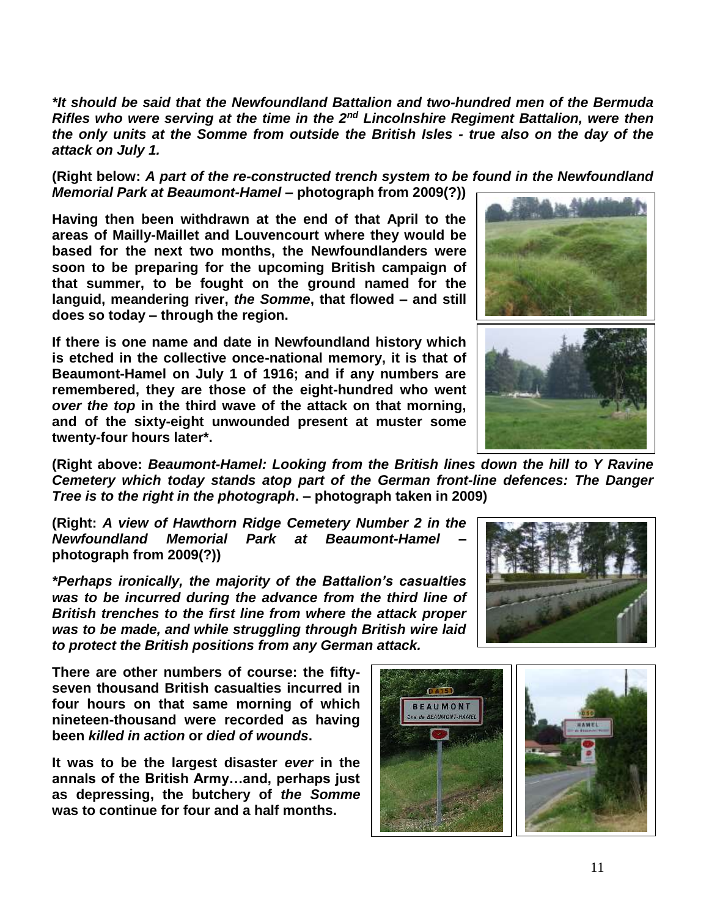*\*It should be said that the Newfoundland Battalion and two-hundred men of the Bermuda Rifles who were serving at the time in the 2nd Lincolnshire Regiment Battalion, were then the only units at the Somme from outside the British Isles - true also on the day of the attack on July 1.*

**(Right below:** *A part of the re-constructed trench system to be found in the Newfoundland Memorial Park at Beaumont-Hamel* **– photograph from 2009(?))**

**Having then been withdrawn at the end of that April to the areas of Mailly-Maillet and Louvencourt where they would be based for the next two months, the Newfoundlanders were soon to be preparing for the upcoming British campaign of that summer, to be fought on the ground named for the languid, meandering river,** *the Somme***, that flowed – and still does so today – through the region.** 

**If there is one name and date in Newfoundland history which is etched in the collective once-national memory, it is that of Beaumont-Hamel on July 1 of 1916; and if any numbers are remembered, they are those of the eight-hundred who went**  *over the top* **in the third wave of the attack on that morning, and of the sixty-eight unwounded present at muster some twenty-four hours later\*.**



**(Right above:** *Beaumont-Hamel: Looking from the British lines down the hill to Y Ravine Cemetery which today stands atop part of the German front-line defences: The Danger Tree is to the right in the photograph***. – photograph taken in 2009)**

**(Right:** *A view of Hawthorn Ridge Cemetery Number 2 in the Newfoundland Memorial Park at Beaumont-Hamel* **– photograph from 2009(?))**

*\*Perhaps ironically, the majority of the Battalion's casualties was to be incurred during the advance from the third line of British trenches to the first line from where the attack proper was to be made, and while struggling through British wire laid to protect the British positions from any German attack.*

**There are other numbers of course: the fiftyseven thousand British casualties incurred in four hours on that same morning of which nineteen-thousand were recorded as having been** *killed in action* **or** *died of wounds***.** 

**It was to be the largest disaster** *ever* **in the annals of the British Army…and, perhaps just as depressing, the butchery of** *the Somme* **was to continue for four and a half months.**



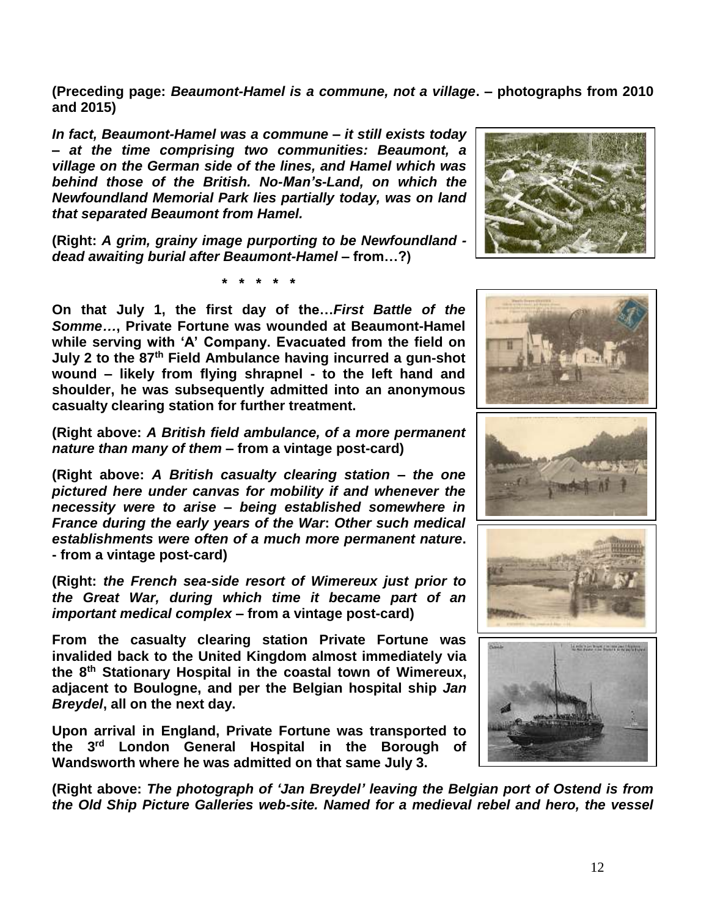**(Preceding page:** *Beaumont-Hamel is a commune, not a village***. – photographs from 2010 and 2015)**

*In fact, Beaumont-Hamel was a commune – it still exists today – at the time comprising two communities: Beaumont, a village on the German side of the lines, and Hamel which was behind those of the British. No-Man's-Land, on which the Newfoundland Memorial Park lies partially today, was on land that separated Beaumont from Hamel.* 

**(Right:** *A grim, grainy image purporting to be Newfoundland dead awaiting burial after Beaumont-Hamel –* **from…?)**

**\* \* \* \* \***

**On that July 1, the first day of the…***First Battle of the Somme…***, Private Fortune was wounded at Beaumont-Hamel while serving with 'A' Company. Evacuated from the field on July 2 to the 87th Field Ambulance having incurred a gun-shot wound – likely from flying shrapnel - to the left hand and shoulder, he was subsequently admitted into an anonymous casualty clearing station for further treatment.**

**(Right above:** *A British field ambulance, of a more permanent nature than many of them* **– from a vintage post-card)**

**(Right above:** *A British casualty clearing station – the one pictured here under canvas for mobility if and whenever the necessity were to arise – being established somewhere in France during the early years of the War***:** *Other such medical establishments were often of a much more permanent nature***. - from a vintage post-card)**

**(Right:** *the French sea-side resort of Wimereux just prior to the Great War, during which time it became part of an important medical complex* **– from a vintage post-card)**

**From the casualty clearing station Private Fortune was invalided back to the United Kingdom almost immediately via the 8th Stationary Hospital in the coastal town of Wimereux, adjacent to Boulogne, and per the Belgian hospital ship** *Jan Breydel***, all on the next day.**

**Upon arrival in England, Private Fortune was transported to the 3 rd London General Hospital in the Borough of Wandsworth where he was admitted on that same July 3.**

**(Right above:** *The photograph of 'Jan Breydel' leaving the Belgian port of Ostend is from the Old Ship Picture Galleries web-site. Named for a medieval rebel and hero, the vessel* 









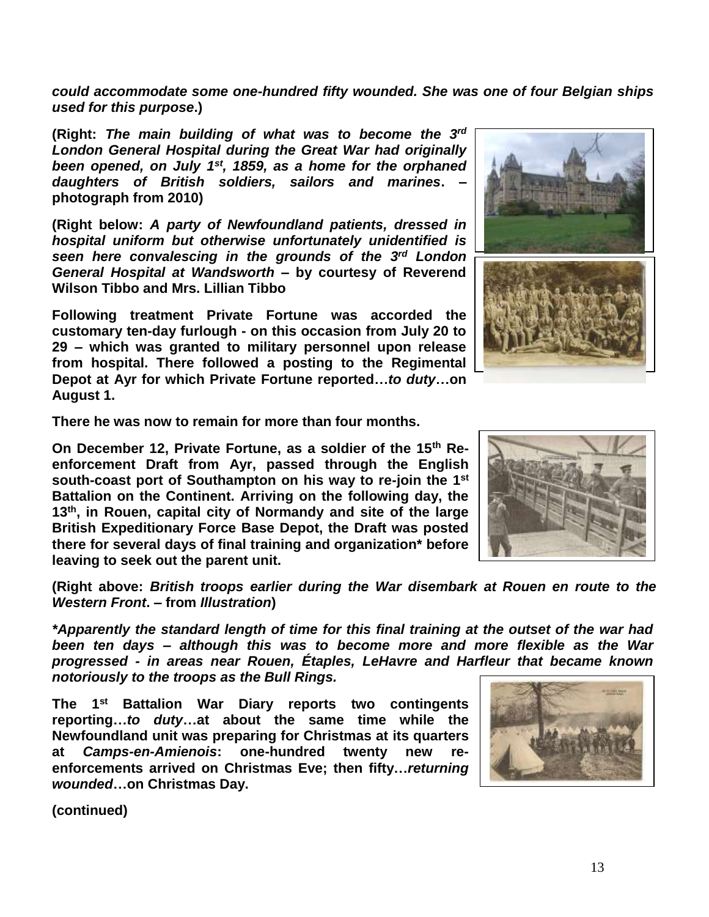*could accommodate some one-hundred fifty wounded. She was one of four Belgian ships used for this purpose***.)**

**(Right:** *The main building of what was to become the 3 rd London General Hospital during the Great War had originally been opened, on July 1st, 1859, as a home for the orphaned daughters of British soldiers, sailors and marines***. – photograph from 2010)**

**(Right below:** *A party of Newfoundland patients, dressed in hospital uniform but otherwise unfortunately unidentified is seen here convalescing in the grounds of the 3 rd London General Hospital at Wandsworth –* **by courtesy of Reverend Wilson Tibbo and Mrs. Lillian Tibbo**

**Following treatment Private Fortune was accorded the customary ten-day furlough - on this occasion from July 20 to 29 – which was granted to military personnel upon release from hospital. There followed a posting to the Regimental Depot at Ayr for which Private Fortune reported…***to duty***…on August 1.** 

**There he was now to remain for more than four months.**

**On December 12, Private Fortune, as a soldier of the 15th Reenforcement Draft from Ayr, passed through the English south-coast port of Southampton on his way to re-join the 1 st Battalion on the Continent. Arriving on the following day, the 13th, in Rouen, capital city of Normandy and site of the large British Expeditionary Force Base Depot, the Draft was posted there for several days of final training and organization\* before leaving to seek out the parent unit.** 

**(Right above:** *British troops earlier during the War disembark at Rouen en route to the Western Front***. – from** *Illustration***)**

*\*Apparently the standard length of time for this final training at the outset of the war had been ten days – although this was to become more and more flexible as the War progressed - in areas near Rouen, Étaples, LeHavre and Harfleur that became known notoriously to the troops as the Bull Rings.*

**The 1st Battalion War Diary reports two contingents reporting…***to duty***…at about the same time while the Newfoundland unit was preparing for Christmas at its quarters at** *Camps-en-Amienois***: one-hundred twenty new reenforcements arrived on Christmas Eve; then fifty…***returning wounded***…on Christmas Day.** 





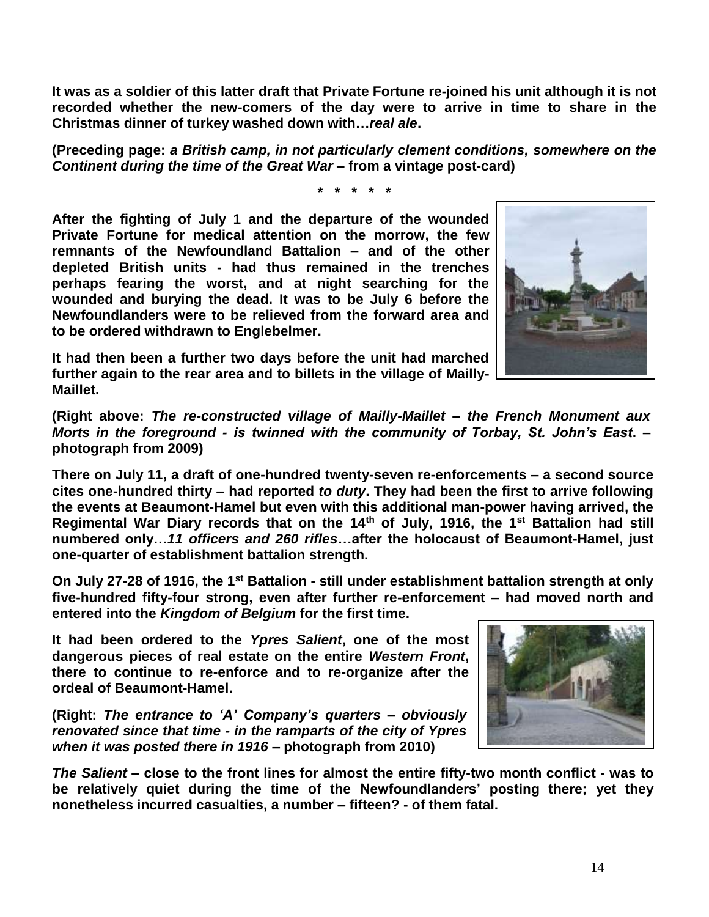**It was as a soldier of this latter draft that Private Fortune re-joined his unit although it is not recorded whether the new-comers of the day were to arrive in time to share in the Christmas dinner of turkey washed down with…***real ale***.**

**(Preceding page:** *a British camp, in not particularly clement conditions, somewhere on the Continent during the time of the Great War* **– from a vintage post-card)**

**\* \* \* \* \***

**After the fighting of July 1 and the departure of the wounded Private Fortune for medical attention on the morrow, the few remnants of the Newfoundland Battalion – and of the other depleted British units - had thus remained in the trenches perhaps fearing the worst, and at night searching for the wounded and burying the dead. It was to be July 6 before the Newfoundlanders were to be relieved from the forward area and to be ordered withdrawn to Englebelmer.** 

**It had then been a further two days before the unit had marched further again to the rear area and to billets in the village of Mailly-Maillet.**

**(Right above:** *The re-constructed village of Mailly-Maillet – the French Monument aux Morts in the foreground - is twinned with the community of Torbay, St. John's East***. – photograph from 2009)**

**There on July 11, a draft of one-hundred twenty-seven re-enforcements – a second source cites one-hundred thirty – had reported** *to duty***. They had been the first to arrive following the events at Beaumont-Hamel but even with this additional man-power having arrived, the Regimental War Diary records that on the 14th of July, 1916, the 1st Battalion had still numbered only…***11 officers and 260 rifles***…after the holocaust of Beaumont-Hamel, just one-quarter of establishment battalion strength.**

**On July 27-28 of 1916, the 1st Battalion - still under establishment battalion strength at only five-hundred fifty-four strong, even after further re-enforcement – had moved north and entered into the** *Kingdom of Belgium* **for the first time.** 

**It had been ordered to the** *Ypres Salient***, one of the most dangerous pieces of real estate on the entire** *Western Front***, there to continue to re-enforce and to re-organize after the ordeal of Beaumont-Hamel.** 

**(Right:** *The entrance to 'A' Company's quarters – obviously renovated since that time - in the ramparts of the city of Ypres when it was posted there in 1916 –* **photograph from 2010)**

*The Salient* **– close to the front lines for almost the entire fifty-two month conflict - was to be relatively quiet during the time of the Newfoundlanders' posting there; yet they nonetheless incurred casualties, a number – fifteen? - of them fatal.**



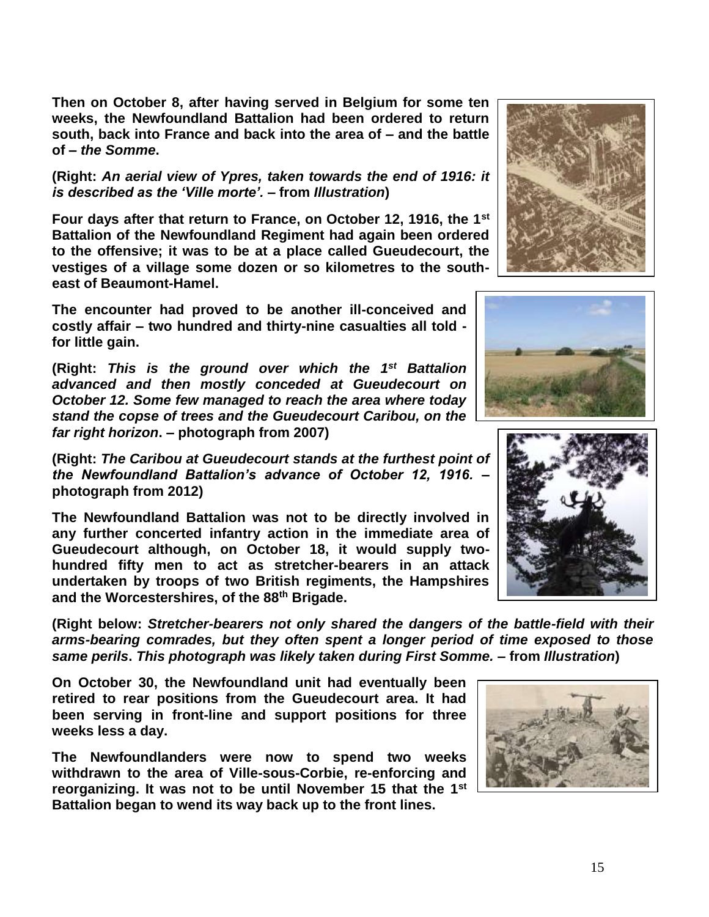**Then on October 8, after having served in Belgium for some ten weeks, the Newfoundland Battalion had been ordered to return south, back into France and back into the area of – and the battle of –** *the Somme***.**

**(Right:** *An aerial view of Ypres, taken towards the end of 1916: it is described as the 'Ville morte'.* **– from** *Illustration***)**

**Four days after that return to France, on October 12, 1916, the 1st Battalion of the Newfoundland Regiment had again been ordered to the offensive; it was to be at a place called Gueudecourt, the vestiges of a village some dozen or so kilometres to the southeast of Beaumont-Hamel.** 

**The encounter had proved to be another ill-conceived and costly affair – two hundred and thirty-nine casualties all told for little gain.** 

(Right: This is the ground over which the 1<sup>st</sup> Battalion *advanced and then mostly conceded at Gueudecourt on October 12. Some few managed to reach the area where today stand the copse of trees and the Gueudecourt Caribou, on the far right horizon***. – photograph from 2007)**

**(Right:** *The Caribou at Gueudecourt stands at the furthest point of the Newfoundland Battalion's advance of October 12, 1916.* **– photograph from 2012)**

**The Newfoundland Battalion was not to be directly involved in any further concerted infantry action in the immediate area of Gueudecourt although, on October 18, it would supply twohundred fifty men to act as stretcher-bearers in an attack undertaken by troops of two British regiments, the Hampshires and the Worcestershires, of the 88th Brigade.**

**(Right below:** *Stretcher-bearers not only shared the dangers of the battle-field with their arms-bearing comrades, but they often spent a longer period of time exposed to those same perils***.** *This photograph was likely taken during First Somme.* **– from** *Illustration***)**

**On October 30, the Newfoundland unit had eventually been retired to rear positions from the Gueudecourt area. It had been serving in front-line and support positions for three weeks less a day.**

**The Newfoundlanders were now to spend two weeks withdrawn to the area of Ville-sous-Corbie, re-enforcing and reorganizing. It was not to be until November 15 that the 1st Battalion began to wend its way back up to the front lines.** 







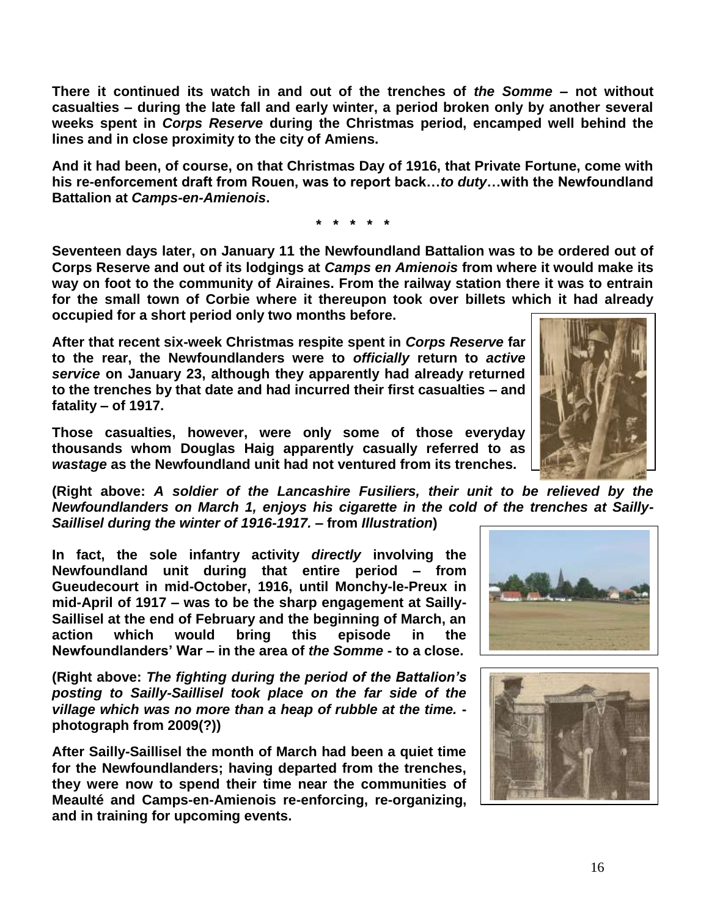**There it continued its watch in and out of the trenches of** *the Somme* **– not without casualties – during the late fall and early winter, a period broken only by another several weeks spent in** *Corps Reserve* **during the Christmas period, encamped well behind the lines and in close proximity to the city of Amiens.**

**And it had been, of course, on that Christmas Day of 1916, that Private Fortune, come with his re-enforcement draft from Rouen, was to report back…***to duty***…with the Newfoundland Battalion at** *Camps-en-Amienois***.**

**\* \* \* \* \***

**Seventeen days later, on January 11 the Newfoundland Battalion was to be ordered out of Corps Reserve and out of its lodgings at** *Camps en Amienois* **from where it would make its way on foot to the community of Airaines. From the railway station there it was to entrain for the small town of Corbie where it thereupon took over billets which it had already occupied for a short period only two months before.**

**After that recent six-week Christmas respite spent in** *Corps Reserve* **far to the rear, the Newfoundlanders were to** *officially* **return to** *active service* **on January 23, although they apparently had already returned to the trenches by that date and had incurred their first casualties – and fatality – of 1917.** 

**Those casualties, however, were only some of those everyday thousands whom Douglas Haig apparently casually referred to as**  *wastage* **as the Newfoundland unit had not ventured from its trenches.** 

**(Right above:** *A soldier of the Lancashire Fusiliers, their unit to be relieved by the Newfoundlanders on March 1, enjoys his cigarette in the cold of the trenches at Sailly-Saillisel during the winter of 1916-1917. –* **from** *Illustration***)**

**In fact, the sole infantry activity** *directly* **involving the Newfoundland unit during that entire period – from Gueudecourt in mid-October, 1916, until Monchy-le-Preux in mid-April of 1917 – was to be the sharp engagement at Sailly-Saillisel at the end of February and the beginning of March, an action which would bring this episode in the Newfoundlanders' War – in the area of** *the Somme* **- to a close.**

**(Right above:** *The fighting during the period of the Battalion's posting to Sailly-Saillisel took place on the far side of the village which was no more than a heap of rubble at the time.*  **photograph from 2009(?))**

**After Sailly-Saillisel the month of March had been a quiet time for the Newfoundlanders; having departed from the trenches, they were now to spend their time near the communities of Meaulté and Camps-en-Amienois re-enforcing, re-organizing, and in training for upcoming events.**





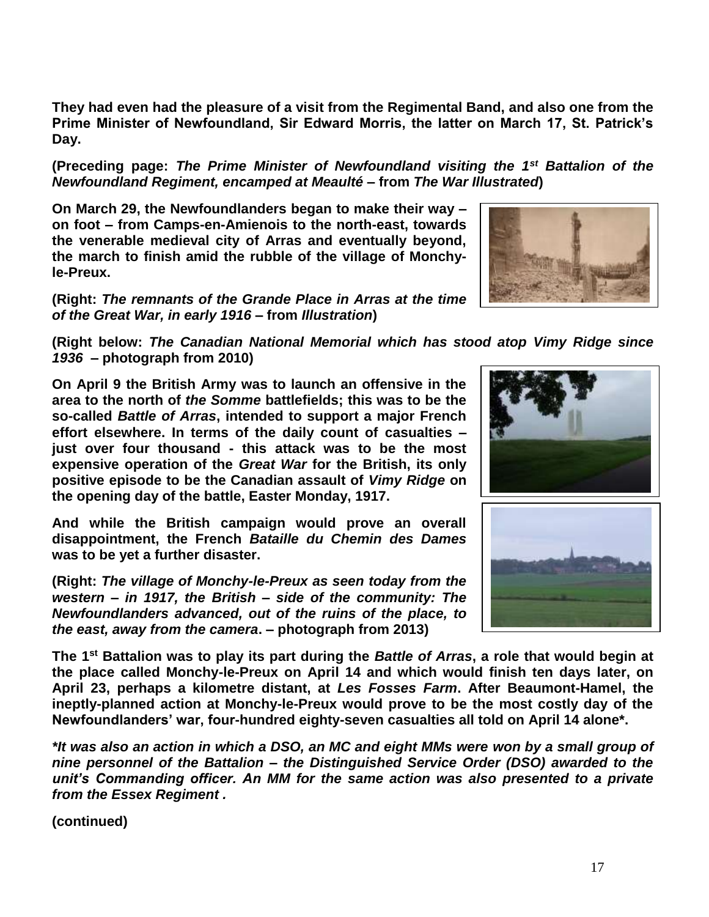**Prime Minister of Newfoundland, Sir Edward Morris, the latter on March 17, St. Patrick's Day.**

**(Preceding page:** *The Prime Minister of Newfoundland visiting the 1st Battalion of the Newfoundland Regiment, encamped at Meaulté* **– from** *The War Illustrated***)**

**They had even had the pleasure of a visit from the Regimental Band, and also one from the** 

**On March 29, the Newfoundlanders began to make their way – on foot – from Camps-en-Amienois to the north-east, towards the venerable medieval city of Arras and eventually beyond, the march to finish amid the rubble of the village of Monchyle-Preux.** 

**(Right:** *The remnants of the Grande Place in Arras at the time of the Great War, in early 1916* **– from** *Illustration***)**



**On April 9 the British Army was to launch an offensive in the area to the north of** *the Somme* **battlefields; this was to be the so-called** *Battle of Arras***, intended to support a major French effort elsewhere. In terms of the daily count of casualties – just over four thousand - this attack was to be the most expensive operation of the** *Great War* **for the British, its only positive episode to be the Canadian assault of** *Vimy Ridge* **on the opening day of the battle, Easter Monday, 1917.** 

**And while the British campaign would prove an overall disappointment, the French** *Bataille du Chemin des Dames* **was to be yet a further disaster.**

**(Right:** *The village of Monchy-le-Preux as seen today from the western – in 1917, the British – side of the community: The Newfoundlanders advanced, out of the ruins of the place, to the east, away from the camera***. – photograph from 2013)**

**The 1st Battalion was to play its part during the** *Battle of Arras***, a role that would begin at the place called Monchy-le-Preux on April 14 and which would finish ten days later, on April 23, perhaps a kilometre distant, at** *Les Fosses Farm***. After Beaumont-Hamel, the ineptly-planned action at Monchy-le-Preux would prove to be the most costly day of the Newfoundlanders' war, four-hundred eighty-seven casualties all told on April 14 alone\*.**

*\*It was also an action in which a DSO, an MC and eight MMs were won by a small group of nine personnel of the Battalion – the Distinguished Service Order (DSO) awarded to the unit's Commanding officer. An MM for the same action was also presented to a private from the Essex Regiment .*